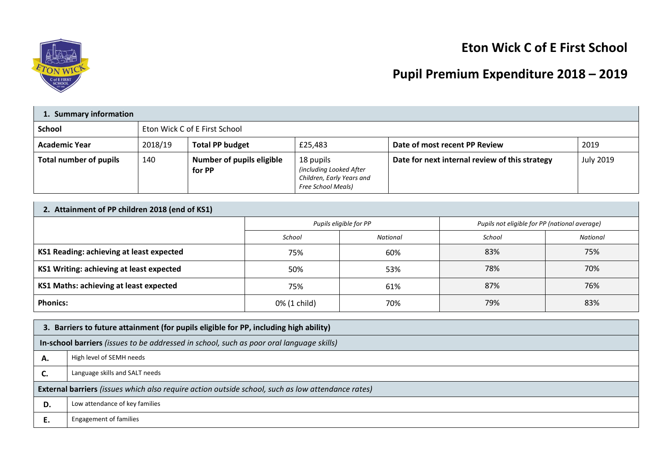

## **Eton Wick C of E First School**

# **Pupil Premium Expenditure 2018 – 2019**

| 1. Summary information        |                               |                                            |                                                                                                |                                                |                  |
|-------------------------------|-------------------------------|--------------------------------------------|------------------------------------------------------------------------------------------------|------------------------------------------------|------------------|
| <b>School</b>                 | Eton Wick C of E First School |                                            |                                                                                                |                                                |                  |
| <b>Academic Year</b>          | 2018/19                       | <b>Total PP budget</b>                     | £25,483                                                                                        | Date of most recent PP Review                  | 2019             |
| <b>Total number of pupils</b> | 140                           | <b>Number of pupils eligible</b><br>for PP | 18 pupils<br>(including Looked After<br>Children, Early Years and<br><b>Free School Meals)</b> | Date for next internal review of this strategy | <b>July 2019</b> |

| 2. Attainment of PP children 2018 (end of KS1) |                        |          |                                               |          |
|------------------------------------------------|------------------------|----------|-----------------------------------------------|----------|
|                                                | Pupils eligible for PP |          | Pupils not eligible for PP (national average) |          |
|                                                | School                 | National | School                                        | National |
| KS1 Reading: achieving at least expected       | 75%                    | 60%      | 83%                                           | 75%      |
| KS1 Writing: achieving at least expected       | 50%                    | 53%      | 78%                                           | 70%      |
| KS1 Maths: achieving at least expected         | 75%                    | 61%      | 87%                                           | 76%      |
| <b>Phonics:</b>                                | 0% (1 child)           | 70%      | 79%                                           | 83%      |

|                                                                                                          | 3. Barriers to future attainment (for pupils eligible for PP, including high ability) |  |  |
|----------------------------------------------------------------------------------------------------------|---------------------------------------------------------------------------------------|--|--|
| In-school barriers (issues to be addressed in school, such as poor oral language skills)                 |                                                                                       |  |  |
| А.                                                                                                       | High level of SEMH needs                                                              |  |  |
| C.                                                                                                       | Language skills and SALT needs                                                        |  |  |
| <b>External barriers</b> (issues which also require action outside school, such as low attendance rates) |                                                                                       |  |  |
| D.                                                                                                       | Low attendance of key families                                                        |  |  |
| È.                                                                                                       | <b>Engagement of families</b>                                                         |  |  |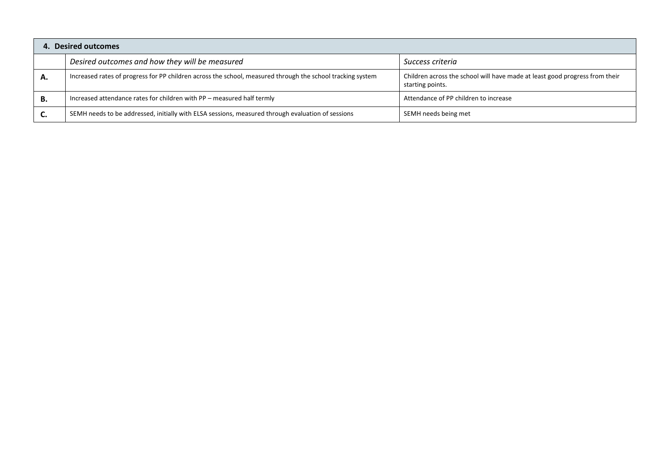| 4.        | <b>Desired outcomes</b>                                                                                    |                                                                                                 |  |  |
|-----------|------------------------------------------------------------------------------------------------------------|-------------------------------------------------------------------------------------------------|--|--|
|           | Desired outcomes and how they will be measured                                                             | Success criteria                                                                                |  |  |
| А.        | Increased rates of progress for PP children across the school, measured through the school tracking system | Children across the school will have made at least good progress from their<br>starting points. |  |  |
| В.        | Increased attendance rates for children with PP - measured half termly                                     | Attendance of PP children to increase                                                           |  |  |
| <b>C.</b> | SEMH needs to be addressed, initially with ELSA sessions, measured through evaluation of sessions          | SEMH needs being met                                                                            |  |  |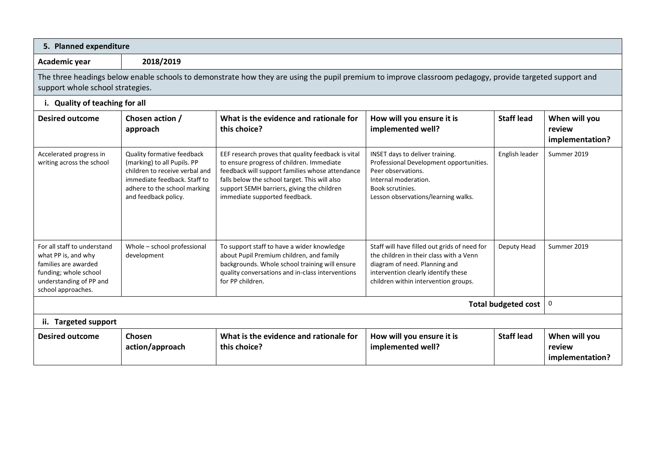| 5. Planned expenditure                                                                                                                                                                      |                                                                                                                                                                                     |                                                                                                                                                                                                                                                                                    |                                                                                                                                                                                                         |                   |                                            |
|---------------------------------------------------------------------------------------------------------------------------------------------------------------------------------------------|-------------------------------------------------------------------------------------------------------------------------------------------------------------------------------------|------------------------------------------------------------------------------------------------------------------------------------------------------------------------------------------------------------------------------------------------------------------------------------|---------------------------------------------------------------------------------------------------------------------------------------------------------------------------------------------------------|-------------------|--------------------------------------------|
| Academic year                                                                                                                                                                               | 2018/2019                                                                                                                                                                           |                                                                                                                                                                                                                                                                                    |                                                                                                                                                                                                         |                   |                                            |
| The three headings below enable schools to demonstrate how they are using the pupil premium to improve classroom pedagogy, provide targeted support and<br>support whole school strategies. |                                                                                                                                                                                     |                                                                                                                                                                                                                                                                                    |                                                                                                                                                                                                         |                   |                                            |
| i. Quality of teaching for all                                                                                                                                                              |                                                                                                                                                                                     |                                                                                                                                                                                                                                                                                    |                                                                                                                                                                                                         |                   |                                            |
| <b>Desired outcome</b>                                                                                                                                                                      | Chosen action /<br>approach                                                                                                                                                         | What is the evidence and rationale for<br>this choice?                                                                                                                                                                                                                             | How will you ensure it is<br>implemented well?                                                                                                                                                          | <b>Staff lead</b> | When will you<br>review<br>implementation? |
| Accelerated progress in<br>writing across the school                                                                                                                                        | Quality formative feedback<br>(marking) to all Pupils. PP<br>children to receive verbal and<br>immediate feedback. Staff to<br>adhere to the school marking<br>and feedback policy. | EEF research proves that quality feedback is vital<br>to ensure progress of children. Immediate<br>feedback will support families whose attendance<br>falls below the school target. This will also<br>support SEMH barriers, giving the children<br>immediate supported feedback. | INSET days to deliver training.<br>Professional Development opportunities.<br>Peer observations.<br>Internal moderation.<br>Book scrutinies.<br>Lesson observations/learning walks.                     | English leader    | Summer 2019                                |
| For all staff to understand<br>what PP is, and why<br>families are awarded<br>funding; whole school<br>understanding of PP and<br>school approaches.                                        | Whole - school professional<br>development                                                                                                                                          | To support staff to have a wider knowledge<br>about Pupil Premium children, and family<br>backgrounds. Whole school training will ensure<br>quality conversations and in-class interventions<br>for PP children.                                                                   | Staff will have filled out grids of need for<br>the children in their class with a Venn<br>diagram of need. Planning and<br>intervention clearly identify these<br>children within intervention groups. | Deputy Head       | Summer 2019                                |
| <b>Total budgeted cost</b>                                                                                                                                                                  |                                                                                                                                                                                     |                                                                                                                                                                                                                                                                                    |                                                                                                                                                                                                         |                   | $\pmb{0}$                                  |
| ii. Targeted support                                                                                                                                                                        |                                                                                                                                                                                     |                                                                                                                                                                                                                                                                                    |                                                                                                                                                                                                         |                   |                                            |
| <b>Desired outcome</b>                                                                                                                                                                      | Chosen<br>action/approach                                                                                                                                                           | What is the evidence and rationale for<br>this choice?                                                                                                                                                                                                                             | How will you ensure it is<br>implemented well?                                                                                                                                                          | <b>Staff lead</b> | When will you<br>review<br>implementation? |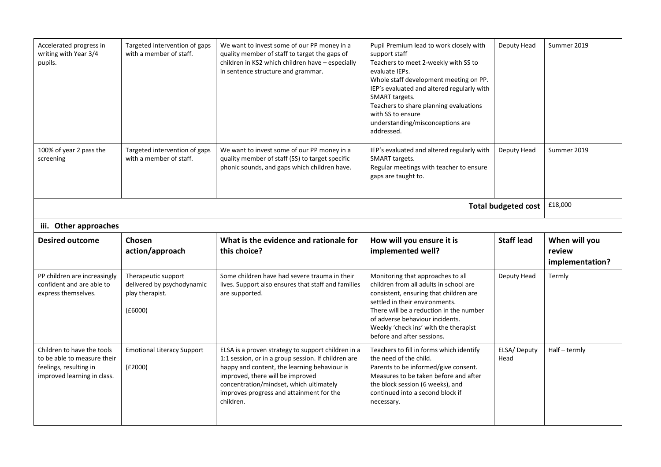| Accelerated progress in<br>writing with Year 3/4<br>pupils.                      | Targeted intervention of gaps<br>with a member of staff.                        | We want to invest some of our PP money in a<br>quality member of staff to target the gaps of<br>children in KS2 which children have - especially<br>in sentence structure and grammar. | Pupil Premium lead to work closely with<br>support staff<br>Teachers to meet 2-weekly with SS to<br>evaluate IEPs.<br>Whole staff development meeting on PP.<br>IEP's evaluated and altered regularly with<br>SMART targets.<br>Teachers to share planning evaluations<br>with SS to ensure<br>understanding/misconceptions are<br>addressed. | Deputy Head                | Summer 2019                                |
|----------------------------------------------------------------------------------|---------------------------------------------------------------------------------|----------------------------------------------------------------------------------------------------------------------------------------------------------------------------------------|-----------------------------------------------------------------------------------------------------------------------------------------------------------------------------------------------------------------------------------------------------------------------------------------------------------------------------------------------|----------------------------|--------------------------------------------|
| 100% of year 2 pass the<br>screening                                             | Targeted intervention of gaps<br>with a member of staff.                        | We want to invest some of our PP money in a<br>quality member of staff (SS) to target specific<br>phonic sounds, and gaps which children have.                                         | IEP's evaluated and altered regularly with<br>SMART targets.<br>Regular meetings with teacher to ensure<br>gaps are taught to.                                                                                                                                                                                                                | Deputy Head                | Summer 2019                                |
|                                                                                  |                                                                                 |                                                                                                                                                                                        |                                                                                                                                                                                                                                                                                                                                               | <b>Total budgeted cost</b> | £18,000                                    |
| iii. Other approaches                                                            |                                                                                 |                                                                                                                                                                                        |                                                                                                                                                                                                                                                                                                                                               |                            |                                            |
|                                                                                  |                                                                                 |                                                                                                                                                                                        |                                                                                                                                                                                                                                                                                                                                               |                            |                                            |
| <b>Desired outcome</b>                                                           | Chosen<br>action/approach                                                       | What is the evidence and rationale for<br>this choice?                                                                                                                                 | How will you ensure it is<br>implemented well?                                                                                                                                                                                                                                                                                                | <b>Staff lead</b>          | When will you<br>review<br>implementation? |
| PP children are increasingly<br>confident and are able to<br>express themselves. | Therapeutic support<br>delivered by psychodynamic<br>play therapist.<br>(E6000) | Some children have had severe trauma in their<br>lives. Support also ensures that staff and families<br>are supported.                                                                 | Monitoring that approaches to all<br>children from all adults in school are<br>consistent, ensuring that children are<br>settled in their environments.<br>There will be a reduction in the number<br>of adverse behaviour incidents.<br>Weekly 'check ins' with the therapist<br>before and after sessions.                                  | Deputy Head                | Termly                                     |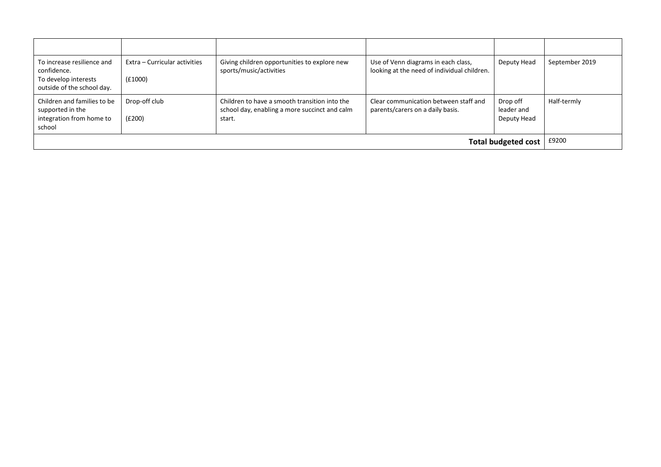| To increase resilience and<br>confidence.<br>To develop interests<br>outside of the school day. | Extra – Curricular activities<br>(f1000) | Giving children opportunities to explore new<br>sports/music/activities                                  | Use of Venn diagrams in each class,<br>looking at the need of individual children. | Deputy Head                           | September 2019 |
|-------------------------------------------------------------------------------------------------|------------------------------------------|----------------------------------------------------------------------------------------------------------|------------------------------------------------------------------------------------|---------------------------------------|----------------|
| Children and families to be<br>supported in the<br>integration from home to<br>school           | Drop-off club<br>(E200)                  | Children to have a smooth transition into the<br>school day, enabling a more succinct and calm<br>start. | Clear communication between staff and<br>parents/carers on a daily basis.          | Drop off<br>leader and<br>Deputy Head | Half-termly    |
|                                                                                                 |                                          |                                                                                                          |                                                                                    | <b>Total budgeted cost</b>            | £9200          |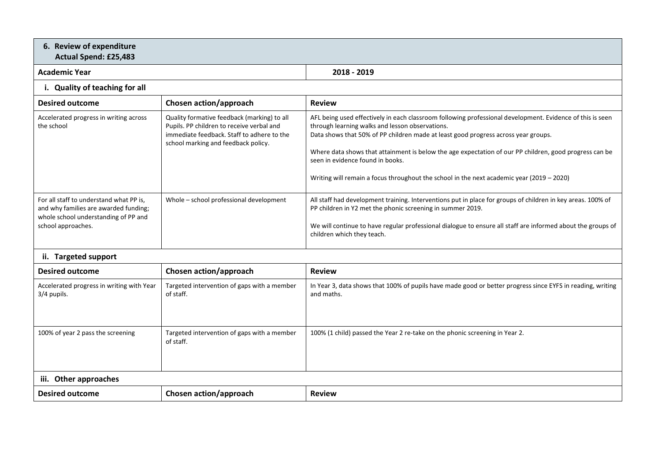### **6. Review of expenditure Actual Spend: £25,483**

#### **Academic Year 2018 - 2019**

## **i. Quality of teaching for all**

| <b>Desired outcome</b>                                                                                                                         | Chosen action/approach                                                                                                                                                        | <b>Review</b>                                                                                                                                                                                                                                                                                                                                                                                                                                                                                 |
|------------------------------------------------------------------------------------------------------------------------------------------------|-------------------------------------------------------------------------------------------------------------------------------------------------------------------------------|-----------------------------------------------------------------------------------------------------------------------------------------------------------------------------------------------------------------------------------------------------------------------------------------------------------------------------------------------------------------------------------------------------------------------------------------------------------------------------------------------|
| Accelerated progress in writing across<br>the school                                                                                           | Quality formative feedback (marking) to all<br>Pupils. PP children to receive verbal and<br>immediate feedback. Staff to adhere to the<br>school marking and feedback policy. | AFL being used effectively in each classroom following professional development. Evidence of this is seen<br>through learning walks and lesson observations.<br>Data shows that 50% of PP children made at least good progress across year groups.<br>Where data shows that attainment is below the age expectation of our PP children, good progress can be<br>seen in evidence found in books.<br>Writing will remain a focus throughout the school in the next academic year (2019 - 2020) |
| For all staff to understand what PP is,<br>and why families are awarded funding;<br>whole school understanding of PP and<br>school approaches. | Whole – school professional development                                                                                                                                       | All staff had development training. Interventions put in place for groups of children in key areas. 100% of<br>PP children in Y2 met the phonic screening in summer 2019.<br>We will continue to have regular professional dialogue to ensure all staff are informed about the groups of<br>children which they teach.                                                                                                                                                                        |

## **ii. Targeted support**

| <b>Desired outcome</b>                                   | Chosen action/approach                                   | <b>Review</b>                                                                                                            |  |
|----------------------------------------------------------|----------------------------------------------------------|--------------------------------------------------------------------------------------------------------------------------|--|
| Accelerated progress in writing with Year<br>3/4 pupils. | Targeted intervention of gaps with a member<br>of staff. | In Year 3, data shows that 100% of pupils have made good or better progress since EYFS in reading, writing<br>and maths. |  |
| 100% of year 2 pass the screening                        | Targeted intervention of gaps with a member<br>of staff. | 100% (1 child) passed the Year 2 re-take on the phonic screening in Year 2.                                              |  |
| iii. Other approaches                                    |                                                          |                                                                                                                          |  |
| <b>Desired outcome</b>                                   | Chosen action/approach                                   | <b>Review</b>                                                                                                            |  |